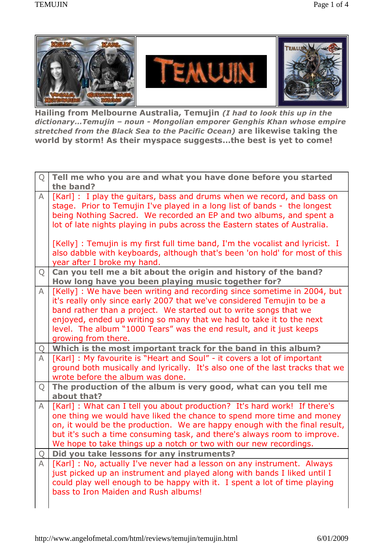

**Hailing from Melbourne Australia, Temujin** *(I had to look this up in the dictionaryÖTemujin ñ noun - Mongolian emporer Genghis Khan whose empire stretched from the Black Sea to the Pacific Ocean)* **are likewise taking the world** by storm! As their myspace suggests...the best is yet to come!

| Q            | Tell me who you are and what you have done before you started                                                                                                                                                                                                                                                                                                                                  |
|--------------|------------------------------------------------------------------------------------------------------------------------------------------------------------------------------------------------------------------------------------------------------------------------------------------------------------------------------------------------------------------------------------------------|
| A            | the band?<br>[Karl] : I play the guitars, bass and drums when we record, and bass on<br>stage. Prior to Temujin I've played in a long list of bands - the longest<br>being Nothing Sacred. We recorded an EP and two albums, and spent a<br>lot of late nights playing in pubs across the Eastern states of Australia.                                                                         |
|              | [Kelly] : Temujin is my first full time band, I'm the vocalist and lyricist. I<br>also dabble with keyboards, although that's been 'on hold' for most of this<br>year after I broke my hand.                                                                                                                                                                                                   |
| Q            | Can you tell me a bit about the origin and history of the band?<br>How long have you been playing music together for?                                                                                                                                                                                                                                                                          |
| A            | [Kelly] : We have been writing and recording since sometime in 2004, but<br>it's really only since early 2007 that we've considered Temujin to be a<br>band rather than a project. We started out to write songs that we<br>enjoyed, ended up writing so many that we had to take it to the next<br>level. The album "1000 Tears" was the end result, and it just keeps<br>growing from there. |
| Q            | Which is the most important track for the band in this album?                                                                                                                                                                                                                                                                                                                                  |
|              |                                                                                                                                                                                                                                                                                                                                                                                                |
| $\mathsf{A}$ | [Karl] : My favourite is "Heart and Soul" - it covers a lot of important<br>ground both musically and lyrically. It's also one of the last tracks that we<br>wrote before the album was done.                                                                                                                                                                                                  |
| Q            | The production of the album is very good, what can you tell me<br>about that?                                                                                                                                                                                                                                                                                                                  |
| A            | [Karl]: What can I tell you about production? It's hard work! If there's<br>one thing we would have liked the chance to spend more time and money<br>on, it would be the production. We are happy enough with the final result,<br>but it's such a time consuming task, and there's always room to improve.<br>We hope to take things up a notch or two with our new recordings.               |
| Q            | Did you take lessons for any instruments?                                                                                                                                                                                                                                                                                                                                                      |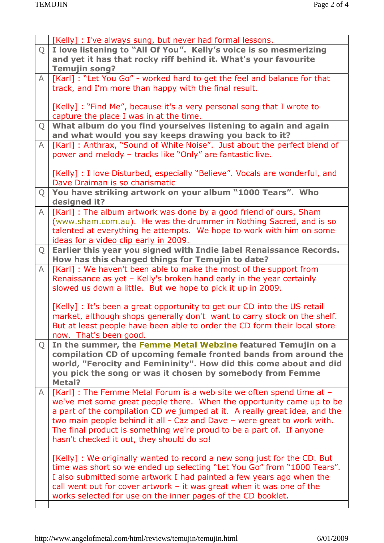|                | [Kelly] : I've always sung, but never had formal lessons.                   |
|----------------|-----------------------------------------------------------------------------|
| $\overline{Q}$ | I love listening to "All Of You". Kelly's voice is so mesmerizing           |
|                | and yet it has that rocky riff behind it. What's your favourite             |
|                | <b>Temujin song?</b>                                                        |
| $\mathsf{A}$   | [Karl] : "Let You Go" - worked hard to get the feel and balance for that    |
|                | track, and I'm more than happy with the final result.                       |
|                |                                                                             |
|                | [Kelly] : "Find Me", because it's a very personal song that I wrote to      |
|                | capture the place I was in at the time.                                     |
| Q              | What album do you find yourselves listening to again and again              |
|                | and what would you say keeps drawing you back to it?                        |
| $\mathsf{A}$   | [Karl]: Anthrax, "Sound of White Noise". Just about the perfect blend of    |
|                | power and melody - tracks like "Only" are fantastic live.                   |
|                |                                                                             |
|                | [Kelly] : I love Disturbed, especially "Believe". Vocals are wonderful, and |
|                | Dave Draiman is so charismatic                                              |
| Q              | You have striking artwork on your album "1000 Tears". Who                   |
|                | designed it?                                                                |
| $\mathsf{A}$   | [Karl] : The album artwork was done by a good friend of ours, Sham          |
|                | (www.sham.com.au). He was the drummer in Nothing Sacred, and is so          |
|                | talented at everything he attempts. We hope to work with him on some        |
|                | ideas for a video clip early in 2009.                                       |
| Q              | Earlier this year you signed with Indie label Renaissance Records.          |
|                | How has this changed things for Temujin to date?                            |
| $\mathsf{A}$   | [Karl] : We haven't been able to make the most of the support from          |
|                | Renaissance as yet - Kelly's broken hand early in the year certainly        |
|                | slowed us down a little. But we hope to pick it up in 2009.                 |
|                |                                                                             |
|                | [Kelly] : It's been a great opportunity to get our CD into the US retail    |
|                | market, although shops generally don't want to carry stock on the shelf.    |
|                | But at least people have been able to order the CD form their local store   |
|                | now. That's been good.                                                      |
| $\overline{Q}$ | In the summer, the Femme Metal Webzine featured Temujin on a                |
|                | compilation CD of upcoming female fronted bands from around the             |
|                | world, "Ferocity and Femininity". How did this come about and did           |
|                | you pick the song or was it chosen by somebody from Femme                   |
|                | Metal?                                                                      |
| A              | [Karl] : The Femme Metal Forum is a web site we often spend time at -       |
|                | we've met some great people there. When the opportunity came up to be       |
|                | a part of the compilation CD we jumped at it. A really great idea, and the  |
|                | two main people behind it all - Caz and Dave - were great to work with.     |
|                | The final product is something we're proud to be a part of. If anyone       |
|                | hasn't checked it out, they should do so!                                   |
|                |                                                                             |
|                | [Kelly] : We originally wanted to record a new song just for the CD. But    |
|                | time was short so we ended up selecting "Let You Go" from "1000 Tears".     |
|                | I also submitted some artwork I had painted a few years ago when the        |
|                | call went out for cover artwork $-$ it was great when it was one of the     |
|                | works selected for use on the inner pages of the CD booklet.                |
|                |                                                                             |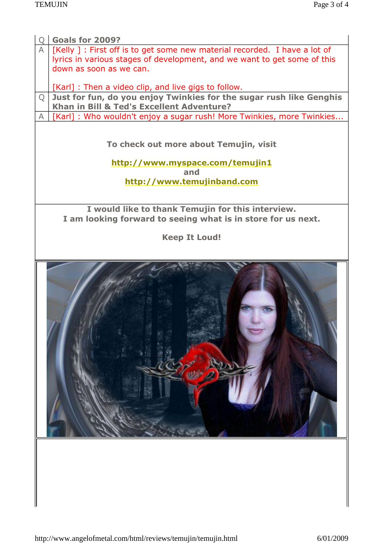| <b>Goals for 2009?</b>                                                                                            |  |  |
|-------------------------------------------------------------------------------------------------------------------|--|--|
| $\mathsf{A}$<br>[Kelly ] : First off is to get some new material recorded. I have a lot of                        |  |  |
| lyrics in various stages of development, and we want to get some of this                                          |  |  |
| down as soon as we can.                                                                                           |  |  |
| [Karl] : Then a video clip, and live gigs to follow.                                                              |  |  |
| Just for fun, do you enjoy Twinkies for the sugar rush like Genghis<br>Q                                          |  |  |
| Khan in Bill & Ted's Excellent Adventure?                                                                         |  |  |
| [Karl]: Who wouldn't enjoy a sugar rush! More Twinkies, more Twinkies                                             |  |  |
| To check out more about Temujin, visit                                                                            |  |  |
| http://www.myspace.com/temujin1<br>and                                                                            |  |  |
| http://www.temujinband.com                                                                                        |  |  |
|                                                                                                                   |  |  |
|                                                                                                                   |  |  |
| I would like to thank Temujin for this interview.<br>I am looking forward to seeing what is in store for us next. |  |  |
|                                                                                                                   |  |  |
| <b>Keep It Loud!</b>                                                                                              |  |  |
|                                                                                                                   |  |  |
|                                                                                                                   |  |  |